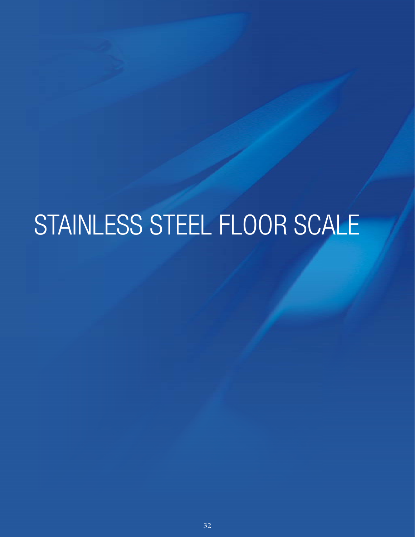# STAINLESS STEEL FLOOR SCALE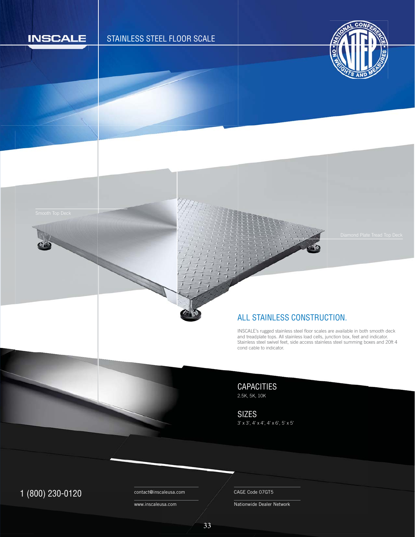

# STAINLESS STEEL FLOOR SCALE



#### ALL STAINLESS CONSTRUCTION.

INSCALE's rugged stainless steel floor scales are available in both smooth deck I and treadplate tops. All stainless load cells, junction box, feet and indicator. Stainless steel swivel feet, side access stainless steel summing boxes and 20ft 4 cond cable to indicator. cond cable to indicator. c

CAPACITIES 2.5K, 5K, 10K

SIZES 3' x 3', 4' x 4', 4' x 6', 5' x 5'

1 (800) 230-0120 Contact@inscaleusa.com CAGE Code 07GT5

contact@inscaleusa.com

www.inscaleusa.com

Nationwide Dealer Network

33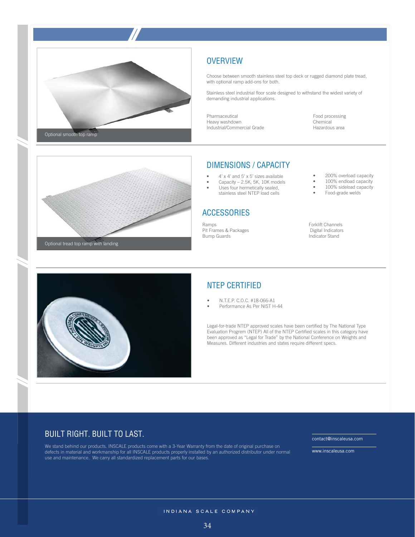



Optional tread top ramp with landing



### **OVERVIEW**

Choose between smooth stainless steel top deck or rugged diamond plate tread, with optional ramp add-ons for both.

Stainless steel industrial floor scale designed to withstand the widest variety of demanding industrial applications.

Pharmaceutical Heavy washdown Industrial/Commercial Grade Food processing Chemical Hazardous area

#### DIMENSIONS / CAPACITY

- 4' x 4' and 5' x 5' sizes available
- Capacity 2.5K, 5K, 10K models
- Uses four hermetically sealed, stainless steel NTEP load cells

# **ACCESSORIES**

Ramps Pit Frames & Packages Bump Guards

- 200% overload capacity
- 100% endload capacity
- $100\%$  sideload capacity<br>•  $\frac{100\%}{1000\%}$  Food-grade welds
- Food-grade welds

Forklift Channels Digital Indicators Indicator Stand

# NTEP CERTIFIED

- N.T.E.P. C.O.C. #18-066-A1
- Performance As Per NIST H-44

Legal-for-trade NTEP approved scales have been certified by The National Type Evaluation Progrem (NTEP) All of the NTEP Certified scales in this category have been approved as "Legal for Trade" by the National Conference on Weights and Measures. Different industries and states require different specs.

#### BUILT RIGHT. BUILT TO LAST.

We stand behind our products. INSCALE products come with a 3-Year Warranty from the date of original purchase on defects in material and workmanship for all INSCALE products properly installed by an authorized distributor under normal use and maintenance. We carry all standardized replacement parts for our bases.

contact@inscaleusa.com

www.inscaleusa.com

#### INDIANA SCALE COMPANY